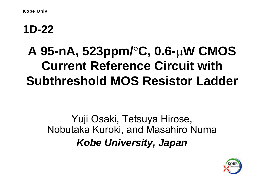Kobe Univ.

### **1D-22**

# **A 95-nA, 523ppm/**°**C, 0.6-**µ**W CMOS Current Reference Circuit with Subthreshold MOS Resistor Ladder**

## Yuji Osaki, Tetsuya Hirose, Nobutaka Kuroki, and Masahiro Numa *Kobe University, Japan*

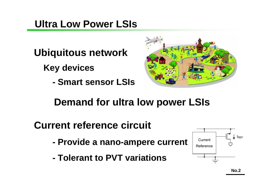#### **Ultra Low Power LSIs**

- **Ubiquitous network**
	- **Key devices**
		- **-Smart sensor LSIs**



- **Demand for ultra low power LSIs**
- **Current reference circuit**
	- **- Provide a nano-ampere current**
	- **- Tolerant to PVT variations**

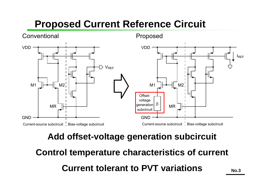## **Proposed Current Reference Circuit**



#### **Add offset-voltage generation subcircuit**

**Control temperature characteristics of current Current tolerant to PVT variationsNo.3**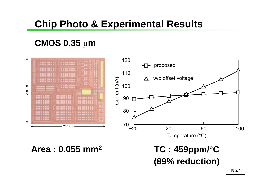### **Chip Photo & Experimental Results**

#### **CMOS 0.35**  µ **m**



#### **Area : 0.055 mm2**

#### **TC : 459ppm/** ° $^{\circ}{\mathbf C}$ **(89% reduction)**